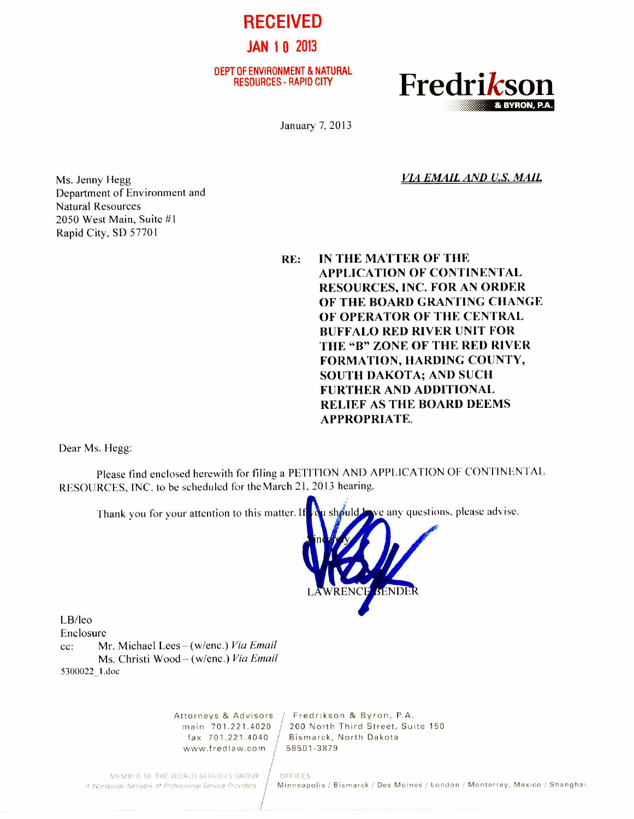DEPT OF ENVIRONMENT & NATURAL<br>RESOURCES - RAPID CITY

**JAN 1** 0 2013

**RECEIVED** 



January 7, 2013

*VIA EMAIL AND U.S. MAIL* 

Ms. Jenny Hegg Department of Environment and Natural Resources 2050 West Main, Suite #1 Rapid City, SD 57701

> **RE: IN THE MATTER OF THE APPLICATION OF CONTINENTAL RESOURCES, INC. FOR AN ORDER OF THE BOARD GRANTING CHANGE OF OPERATOR OF THE CENTRAL BUFFALO RED RIVER UNIT FOR THE "B" ZONE OF THE RED RIVER FORMATION, HARDING COUNTY, SOUTH DAKOTA; AND SUCH FURTHER AND ADDITIONAL RELIEF AS THE BOARD DEEMS APPROPRIATE.**

Dear Ms. Hegg:

Please find enclosed herewith for filing a PETITION AND APPLICATION OF CONTINENTAL RESOURCES, INC. to be scheduled for theMarch 21, 2013 hearing.



www.fredlaw.com / 58501-3879

Attorneys & Advisors / Fredrikson & Byron, P.A. main 701.221.4020 / 200 North Third Street, Suite 150 fax 701.221.4040 Bismarck, North Dakota

MEMBER OF THE WORLD SERVICES GROUP | OFFICES:<br>A Worldwide Network of Professional Service Providers | Minneapo

Minneapolis / Bismarck / Des Moines / London / Monterrey, Mexico / Shanghai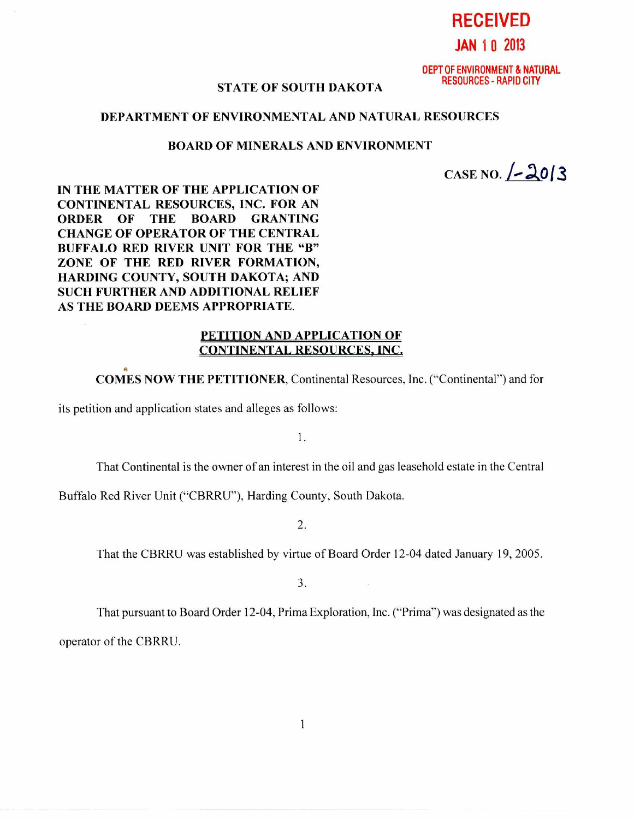**RECEIVED** 

# **JAN 1** 0 2013

DEPT OF ENVIRONMENT & NATURAL RESOURCES - RAPID CITY

## **STATE OF SOUTH DAKOTA**

## **DEPARTMENT OF ENVIRONMENTAL AND NATURAL RESOURCES**

#### **BOARD OF MINERALS AND ENVIRONMENT**

**CASE NO. /-** Ao13

**IN THE MATTER OF THE APPLICATION OF CONTINENTAL RESOURCES, INC. FOR AN ORDER OF THE BOARD GRANTING CHANGE OF OPERATOR OF THE CENTRAL BUFFALO RED RIVER UNIT FOR THE "B" ZONE OF THE RED RIVER FORMATION, HARDING COUNTY, SOUTH DAKOTA; AND SUCH FURTHER AND ADDITIONAL RELIEF AS THE BOARD DEEMS APPROPRIATE.** 

#### **PETITION AND APPLICATION OF CONTINENTAL RESOURCES, INC.**

**COMES NOW THE PETITIONER,** Continental Resources, Inc. ("Continental") and for

its petition and application states and alleges as follows:

1.

That Continental is the owner of an interest in the oil and gas leasehold estate in the Central

Buffalo Red River Unit ("CBRRU"), Harding County, South Dakota.

2.

That the CBRRU was established by virtue of Board Order 12-04 dated January 19, 2005.

3.

That pursuant to Board Order 12-04, Prima Exploration, Inc. ("Prima") was designated as the

operator of the CBRRU.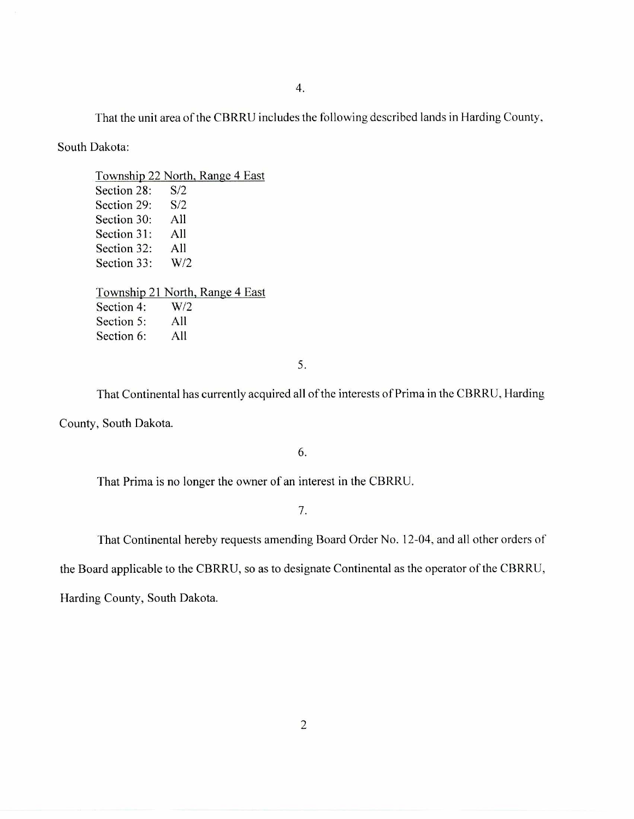That the unit area of the CBRRU includes the following described lands in Harding County,

South Dakota:

Township 22 North. Range 4 East Section 28: S/2 Section 29: S/2 Section 30: All Section 31: All Section 32: All Section 33: W/2 Township 21 North, Range 4 East Section 4: W/2 Section 5: All Section 6: All

5.

That Continental has currently acquired all of the interests of Prima in the CBRRU, Harding County, South Dakota.

6.

That Prima is no longer the owner of an interest in the CBRRU.

7.

That Continental hereby requests amending Board Order No. 12-04, and all other orders of

the Board applicable to the CBRRU, so as to designate Continental as the operator of the CBRRU,

Harding County, South Dakota.